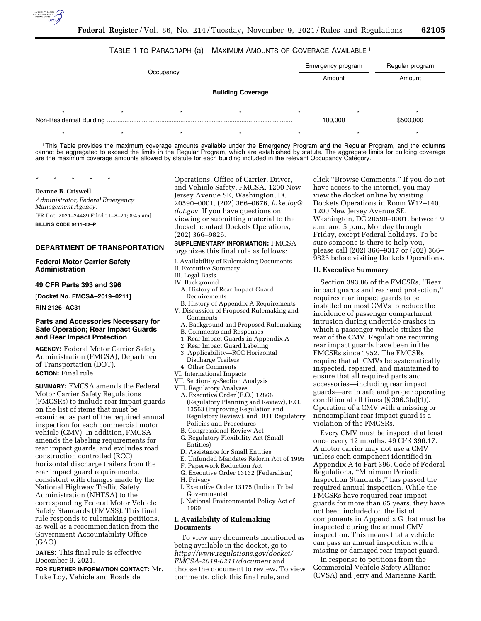

# TABLE 1 TO PARAGRAPH (a)—MAXIMUM AMOUNTS OF COVERAGE AVAILABLE 1

| Occupancy                |  |  |  |  | Emergency program<br>Amount | Regular program<br>Amount |
|--------------------------|--|--|--|--|-----------------------------|---------------------------|
| <b>Building Coverage</b> |  |  |  |  |                             |                           |
|                          |  |  |  |  | 100,000                     | \$500,000                 |
|                          |  |  |  |  |                             |                           |

1This Table provides the maximum coverage amounts available under the Emergency Program and the Regular Program, and the columns cannot be aggregated to exceed the limits in the Regular Program, which are established by statute. The aggregate limits for building coverage are the maximum coverage amounts allowed by statute for each building included in the relevant Occupancy Category.

\* \* \* \* \*

#### **Deanne B. Criswell,**

*Administrator, Federal Emergency Management Agency.*  [FR Doc. 2021–24489 Filed 11–8–21; 8:45 am]

**BILLING CODE 9111–52–P** 

#### **DEPARTMENT OF TRANSPORTATION**

# **Federal Motor Carrier Safety Administration**

### **49 CFR Parts 393 and 396**

**[Docket No. FMCSA–2019–0211]** 

**RIN 2126–AC31** 

# **Parts and Accessories Necessary for Safe Operation; Rear Impact Guards and Rear Impact Protection**

**AGENCY:** Federal Motor Carrier Safety Administration (FMCSA), Department of Transportation (DOT). **ACTION:** Final rule.

**SUMMARY:** FMCSA amends the Federal Motor Carrier Safety Regulations (FMCSRs) to include rear impact guards on the list of items that must be examined as part of the required annual inspection for each commercial motor vehicle (CMV). In addition, FMCSA amends the labeling requirements for rear impact guards, and excludes road construction controlled (RCC) horizontal discharge trailers from the rear impact guard requirements, consistent with changes made by the National Highway Traffic Safety Administration (NHTSA) to the corresponding Federal Motor Vehicle Safety Standards (FMVSS). This final rule responds to rulemaking petitions, as well as a recommendation from the Government Accountability Office (GAO).

**DATES:** This final rule is effective December 9, 2021.

**FOR FURTHER INFORMATION CONTACT:** Mr. Luke Loy, Vehicle and Roadside

Operations, Office of Carrier, Driver, and Vehicle Safety, FMCSA, 1200 New Jersey Avenue SE, Washington, DC 20590–0001, (202) 366–0676, *[luke.loy@](mailto:luke.loy@dot.gov) [dot.gov.](mailto:luke.loy@dot.gov)* If you have questions on viewing or submitting material to the docket, contact Dockets Operations, (202) 366–9826.

### **SUPPLEMENTARY INFORMATION:** FMCSA

organizes this final rule as follows:

- I. Availability of Rulemaking Documents
- II. Executive Summary
- III. Legal Basis
- IV. Background A. History of Rear Impact Guard Requirements
	- B. History of Appendix A Requirements
- V. Discussion of Proposed Rulemaking and Comments
	- A. Background and Proposed Rulemaking
	- B. Comments and Responses
	- 1. Rear Impact Guards in Appendix A
	- 2. Rear Impact Guard Labeling
	- 3. Applicability—RCC Horizontal Discharge Trailers
- 4. Other Comments
- VI. International Impacts
- VII. Section-by-Section Analysis
- VIII. Regulatory Analyses
	- A. Executive Order (E.O.) 12866 (Regulatory Planning and Review), E.O. 13563 (Improving Regulation and Regulatory Review), and DOT Regulatory Policies and Procedures
	- B. Congressional Review Act
	- C. Regulatory Flexibility Act (Small Entities)
- D. Assistance for Small Entities
- E. Unfunded Mandates Reform Act of 1995
- F. Paperwork Reduction Act
- G. Executive Order 13132 (Federalism)
- H. Privacy
- I. Executive Order 13175 (Indian Tribal Governments)
- J. National Environmental Policy Act of 1969

# **I. Availability of Rulemaking Documents**

To view any documents mentioned as being available in the docket, go to *[https://www.regulations.gov/docket/](https://www.regulations.gov/docket/FMCSA-2019-0211/document)  [FMCSA-2019-0211/document](https://www.regulations.gov/docket/FMCSA-2019-0211/document)* and choose the document to review. To view comments, click this final rule, and

click ''Browse Comments.'' If you do not have access to the internet, you may view the docket online by visiting Dockets Operations in Room W12–140, 1200 New Jersey Avenue SE, Washington, DC 20590–0001, between 9 a.m. and 5 p.m., Monday through Friday, except Federal holidays. To be sure someone is there to help you, please call (202) 366–9317 or (202) 366– 9826 before visiting Dockets Operations.

## **II. Executive Summary**

Section 393.86 of the FMCSRs, ''Rear impact guards and rear end protection,'' requires rear impact guards to be installed on most CMVs to reduce the incidence of passenger compartment intrusion during underride crashes in which a passenger vehicle strikes the rear of the CMV. Regulations requiring rear impact guards have been in the FMCSRs since 1952. The FMCSRs require that all CMVs be systematically inspected, repaired, and maintained to ensure that all required parts and accessories—including rear impact guards—are in safe and proper operating condition at all times  $(\S 396.3(a)(1))$ . Operation of a CMV with a missing or noncompliant rear impact guard is a violation of the FMCSRs.

Every CMV must be inspected at least once every 12 months. 49 CFR 396.17. A motor carrier may not use a CMV unless each component identified in Appendix A to Part 396, Code of Federal Regulations, ''Minimum Periodic Inspection Standards,'' has passed the required annual inspection. While the FMCSRs have required rear impact guards for more than 65 years, they have not been included on the list of components in Appendix G that must be inspected during the annual CMV inspection. This means that a vehicle can pass an annual inspection with a missing or damaged rear impact guard.

In response to petitions from the Commercial Vehicle Safety Alliance (CVSA) and Jerry and Marianne Karth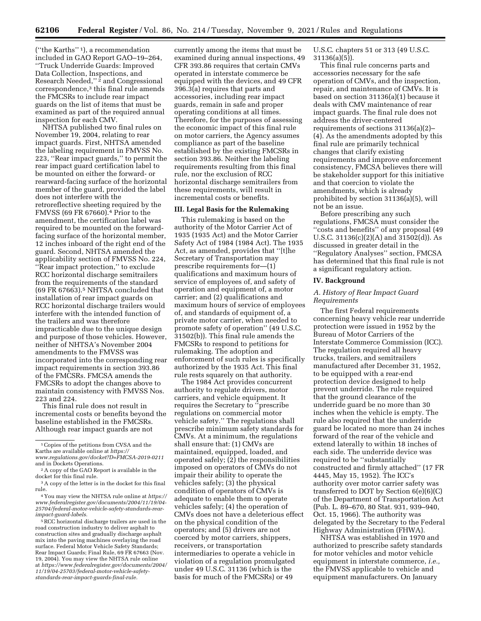(''the Karths'' 1), a recommendation included in GAO Report GAO–19–264, ''Truck Underride Guards: Improved Data Collection, Inspections, and Research Needed,"<sup>2</sup> and Congressional correspondence,3 this final rule amends the FMCSRs to include rear impact guards on the list of items that must be examined as part of the required annual inspection for each CMV.

NHTSA published two final rules on November 19, 2004, relating to rear impact guards. First, NHTSA amended the labeling requirement in FMVSS No. 223, ''Rear impact guards,'' to permit the rear impact guard certification label to be mounted on either the forward- or rearward-facing surface of the horizontal member of the guard, provided the label does not interfere with the retroreflective sheeting required by the FMVSS (69 FR 67660).4 Prior to the amendment, the certification label was required to be mounted on the forwardfacing surface of the horizontal member, 12 inches inboard of the right end of the guard. Second, NHTSA amended the applicability section of FMVSS No. 224, ''Rear impact protection,'' to exclude RCC horizontal discharge semitrailers from the requirements of the standard (69 FR 67663).5 NHTSA concluded that installation of rear impact guards on RCC horizontal discharge trailers would interfere with the intended function of the trailers and was therefore impracticable due to the unique design and purpose of those vehicles. However, neither of NHTSA's November 2004 amendments to the FMVSS was incorporated into the corresponding rear impact requirements in section 393.86 of the FMCSRs. FMCSA amends the FMCSRs to adopt the changes above to maintain consistency with FMVSS Nos. 223 and 224.

This final rule does not result in incremental costs or benefits beyond the baseline established in the FMCSRs. Although rear impact guards are not

<sup>5</sup> RCC horizontal discharge trailers are used in the road construction industry to deliver asphalt to construction sites and gradually discharge asphalt mix into the paving machines overlaying the road surface. Federal Motor Vehicle Safety Standards; Rear Impact Guards; Final Rule, 69 FR 67663 (Nov. 19, 2004). You may view the NHTSA rule online at *[https://www.federalregister.gov/documents/2004/](https://www.federalregister.gov/documents/2004/11/19/04-25703/federal-motor-vehicle-safety-standards-rear-impact-guards-final-rule)  [11/19/04-25703/federal-motor-vehicle-safety](https://www.federalregister.gov/documents/2004/11/19/04-25703/federal-motor-vehicle-safety-standards-rear-impact-guards-final-rule)[standards-rear-impact-guards-final-rule.](https://www.federalregister.gov/documents/2004/11/19/04-25703/federal-motor-vehicle-safety-standards-rear-impact-guards-final-rule)* 

currently among the items that must be examined during annual inspections, 49 CFR 393.86 requires that certain CMVs operated in interstate commerce be equipped with the devices, and 49 CFR 396.3(a) requires that parts and accessories, including rear impact guards, remain in safe and proper operating conditions at all times. Therefore, for the purposes of assessing the economic impact of this final rule on motor carriers, the Agency assumes compliance as part of the baseline established by the existing FMCSRs in section 393.86. Neither the labeling requirements resulting from this final rule, nor the exclusion of RCC horizontal discharge semitrailers from these requirements, will result in incremental costs or benefits.

# **III. Legal Basis for the Rulemaking**

This rulemaking is based on the authority of the Motor Carrier Act of 1935 (1935 Act) and the Motor Carrier Safety Act of 1984 (1984 Act). The 1935 Act, as amended, provides that ''[t]he Secretary of Transportation may prescribe requirements for—(1) qualifications and maximum hours of service of employees of, and safety of operation and equipment of, a motor carrier; and (2) qualifications and maximum hours of service of employees of, and standards of equipment of, a private motor carrier, when needed to promote safety of operation'' (49 U.S.C. 31502(b)). This final rule amends the FMCSRs to respond to petitions for rulemaking. The adoption and enforcement of such rules is specifically authorized by the 1935 Act. This final rule rests squarely on that authority.

The 1984 Act provides concurrent authority to regulate drivers, motor carriers, and vehicle equipment. It requires the Secretary to ''prescribe regulations on commercial motor vehicle safety.'' The regulations shall prescribe minimum safety standards for CMVs. At a minimum, the regulations shall ensure that: (1) CMVs are maintained, equipped, loaded, and operated safely; (2) the responsibilities imposed on operators of CMVs do not impair their ability to operate the vehicles safely; (3) the physical condition of operators of CMVs is adequate to enable them to operate vehicles safely; (4) the operation of CMVs does not have a deleterious effect on the physical condition of the operators; and (5) drivers are not coerced by motor carriers, shippers, receivers, or transportation intermediaries to operate a vehicle in violation of a regulation promulgated under 49 U.S.C. 31136 (which is the basis for much of the FMCSRs) or 49

U.S.C. chapters 51 or 313 (49 U.S.C. 31136(a)(5)).

This final rule concerns parts and accessories necessary for the safe operation of CMVs, and the inspection, repair, and maintenance of CMVs. It is based on section 31136(a)(1) because it deals with CMV maintenance of rear impact guards. The final rule does not address the driver-centered requirements of sections 31136(a)(2)– (4). As the amendments adopted by this final rule are primarily technical changes that clarify existing requirements and improve enforcement consistency, FMCSA believes there will be stakeholder support for this initiative and that coercion to violate the amendments, which is already prohibited by section 31136(a)(5), will not be an issue.

Before prescribing any such regulations, FMCSA must consider the ''costs and benefits'' of any proposal (49 U.S.C. 31136(c)(2)(A) and 31502(d)). As discussed in greater detail in the ''Regulatory Analyses'' section, FMCSA has determined that this final rule is not a significant regulatory action.

### **IV. Background**

# *A. History of Rear Impact Guard Requirements*

The first Federal requirements concerning heavy vehicle rear underride protection were issued in 1952 by the Bureau of Motor Carriers of the Interstate Commerce Commission (ICC). The regulation required all heavy trucks, trailers, and semitrailers manufactured after December 31, 1952, to be equipped with a rear-end protection device designed to help prevent underride. The rule required that the ground clearance of the underride guard be no more than 30 inches when the vehicle is empty. The rule also required that the underride guard be located no more than 24 inches forward of the rear of the vehicle and extend laterally to within 18 inches of each side. The underride device was required to be ''substantially constructed and firmly attached'' (17 FR 4445, May 15, 1952). The ICC's authority over motor carrier safety was transferred to DOT by Section 6(e)(6)(C) of the Department of Transportation Act (Pub. L. 89–670, 80 Stat. 931, 939–940, Oct. 15, 1966). The authority was delegated by the Secretary to the Federal Highway Administration (FHWA).

NHTSA was established in 1970 and authorized to prescribe safety standards for motor vehicles and motor vehicle equipment in interstate commerce, *i.e.,*  the FMVSS applicable to vehicle and equipment manufacturers. On January

<sup>&</sup>lt;sup>1</sup> Copies of the petitions from CVSA and the Karths are available online at *[https://](https://www.regulations.gov/docket?D=FMCSA-2019-0211) [www.regulations.gov/docket?D=FMCSA-2019-0211](https://www.regulations.gov/docket?D=FMCSA-2019-0211)* 

 $a^2$  A copy of the GAO Report is available in the docket for this final rule.

 $^3\rm\,A$  copy of the letter is in the docket for this final rule.

<sup>&</sup>lt;sup>4</sup> You may view the NHTSA rule online at *[https://](https://www.federalregister.gov/documents/2004/11/19/04-25704/federal-motor-vehicle-safety-standards-rear-impact-guard-labels) [www.federalregister.gov/documents/2004/11/19/04-](https://www.federalregister.gov/documents/2004/11/19/04-25704/federal-motor-vehicle-safety-standards-rear-impact-guard-labels) [25704/federal-motor-vehicle-safety-standards-rear](https://www.federalregister.gov/documents/2004/11/19/04-25704/federal-motor-vehicle-safety-standards-rear-impact-guard-labels)[impact-guard-labels.](https://www.federalregister.gov/documents/2004/11/19/04-25704/federal-motor-vehicle-safety-standards-rear-impact-guard-labels)*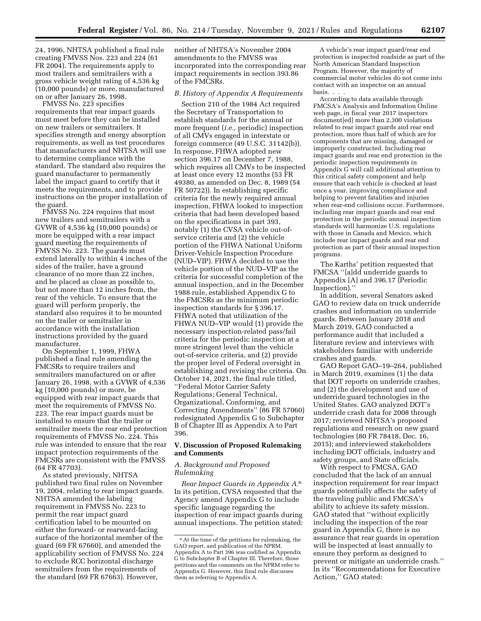24, 1996, NHTSA published a final rule creating FMVSS Nos. 223 and 224 (61 FR 2004). The requirements apply to most trailers and semitrailers with a gross vehicle weight rating of 4,536 kg (10,000 pounds) or more, manufactured on or after January 26, 1998.

FMVSS No. 223 specifies requirements that rear impact guards must meet before they can be installed on new trailers or semitrailers. It specifies strength and energy absorption requirements, as well as test procedures that manufacturers and NHTSA will use to determine compliance with the standard. The standard also requires the guard manufacturer to permanently label the impact guard to certify that it meets the requirements, and to provide instructions on the proper installation of the guard.

FMVSS No. 224 requires that most new trailers and semitrailers with a GVWR of 4,536 kg (10,000 pounds) or more be equipped with a rear impact guard meeting the requirements of FMVSS No. 223. The guards must extend laterally to within 4 inches of the sides of the trailer, have a ground clearance of no more than 22 inches, and be placed as close as possible to, but not more than 12 inches from, the rear of the vehicle. To ensure that the guard will perform properly, the standard also requires it to be mounted on the trailer or semitrailer in accordance with the installation instructions provided by the guard manufacturer.

On September 1, 1999, FHWA published a final rule amending the FMCSRs to require trailers and semitrailers manufactured on or after January 26, 1998, with a GVWR of 4,536 kg (10,000 pounds) or more, be equipped with rear impact guards that meet the requirements of FMVSS No. 223. The rear impact guards must be installed to ensure that the trailer or semitrailer meets the rear end protection requirements of FMVSS No. 224. This rule was intended to ensure that the rear impact protection requirements of the FMCSRs are consistent with the FMVSS (64 FR 47703).

As stated previously, NHTSA published two final rules on November 19, 2004, relating to rear impact guards. NHTSA amended the labeling requirement in FMVSS No. 223 to permit the rear impact guard certification label to be mounted on either the forward- or rearward-facing surface of the horizontal member of the guard (69 FR 67660), and amended the applicability section of FMVSS No. 224 to exclude RCC horizontal discharge semitrailers from the requirements of the standard (69 FR 67663). However,

neither of NHTSA's November 2004 amendments to the FMVSS was incorporated into the corresponding rear impact requirements in section 393.86 of the FMCSRs.

# *B. History of Appendix A Requirements*

Section 210 of the 1984 Act required the Secretary of Transportation to establish standards for the annual or more frequent (*i.e.,* periodic) inspection of all CMVs engaged in interstate or foreign commerce (49 U.S.C. 31142(b)). In response, FHWA adopted new section 396.17 on December 7, 1988, which requires all CMVs to be inspected at least once every 12 months (53 FR 49380, as amended on Dec. 8, 1989 (54 FR 50722)). In establishing specific criteria for the newly required annual inspection, FHWA looked to inspection criteria that had been developed based on the specifications in part 393, notably (1) the CVSA vehicle out-ofservice criteria and (2) the vehicle portion of the FHWA National Uniform Driver-Vehicle Inspection Procedure (NUD–VIP). FHWA decided to use the vehicle portion of the NUD–VIP as the criteria for successful completion of the annual inspection, and in the December 1988 rule, established Appendix G to the FMCSRs as the minimum periodic inspection standards for § 396.17. FHWA noted that utilization of the FHWA NUD–VIP would (1) provide the necessary inspection-related pass/fail criteria for the periodic inspection at a more stringent level than the vehicle out-of-service criteria, and (2) provide the proper level of Federal oversight in establishing and revising the criteria. On October 14, 2021, the final rule titled, ''Federal Motor Carrier Safety Regulations; General Technical, Organizational, Conforming, and Correcting Amendments'' (86 FR 57060) redesignated Appendix G to Subchapter B of Chapter III as Appendix A to Part 396.

# **V. Discussion of Proposed Rulemaking and Comments**

### *A. Background and Proposed Rulemaking*

*Rear Impact Guards in Appendix A.*6 In its petition, CVSA requested that the Agency amend Appendix G to include specific language regarding the inspection of rear impact guards during annual inspections. The petition stated:

A vehicle's rear impact guard/rear end protection is inspected roadside as part of the North American Standard Inspection Program. However, the majority of commercial motor vehicles do not come into contact with an inspector on an annual basis. . . .

According to data available through FMCSA's Analysis and Information Online web page, in fiscal year 2017 inspectors document[ed] more than 2,300 violations related to rear impact guards and rear end protection, more than half of which are for components that are missing, damaged or improperly constructed. Including rear impact guards and rear end protection in the periodic inspection requirements in Appendix G will call additional attention to this critical safety component and help ensure that each vehicle is checked at least once a year, improving compliance and helping to prevent fatalities and injuries when rear-end collisions occur. Furthermore, including rear impact guards and rear end protection in the periodic annual inspection standards will harmonize U.S. regulations with those in Canada and Mexico, which include rear impact guards and rear end protection as part of their annual inspection programs.

The Karths' petition requested that FMCSA ''[a]dd underride guards to Appendix [A] and 396.17 (Periodic Inspection).''

In addition, several Senators asked GAO to review data on truck underride crashes and information on underride guards. Between January 2018 and March 2019, GAO conducted a performance audit that included a literature review and interviews with stakeholders familiar with underride crashes and guards.

GAO Report GAO–19–264, published in March 2019, examines (1) the data that DOT reports on underride crashes, and (2) the development and use of underride guard technologies in the United States. GAO analyzed DOT's underride crash data for 2008 through 2017; reviewed NHTSA's proposed regulations and research on new guard technologies (80 FR 78418, Dec. 16, 2015); and interviewed stakeholders including DOT officials, industry and safety groups, and State officials.

With respect to FMCSA, GAO concluded that the lack of an annual inspection requirement for rear impact guards potentially affects the safety of the traveling public and FMCSA's ability to achieve its safety mission. GAO stated that ''without explicitly including the inspection of the rear guard in Appendix G, there is no assurance that rear guards in operation will be inspected at least annually to ensure they perform as designed to prevent or mitigate an underride crash.'' In its ''Recommendations for Executive Action,'' GAO stated:

<sup>6</sup>At the time of the petitions for rulemaking, the GAO report, and publication of the NPRM, Appendix A to Part 396 was codified as Appendix G to Subchapter B of Chapter III. Therefore, those petitions and the comments on the NPRM refer to Appendix G. However, this final rule discusses them as referring to Appendix A.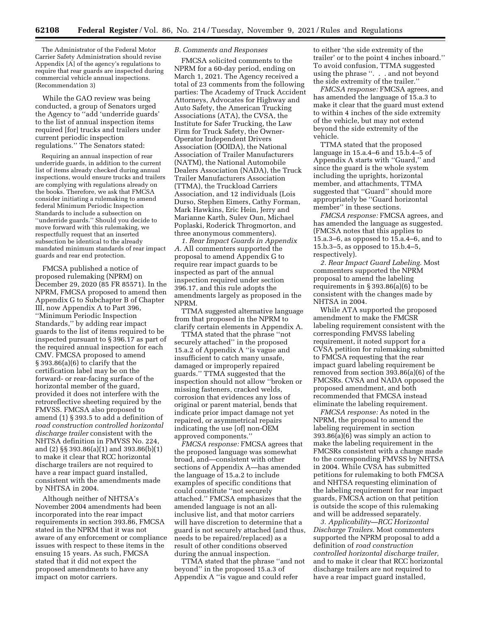The Administrator of the Federal Motor Carrier Safety Administration should revise Appendix [A] of the agency's regulations to require that rear guards are inspected during commercial vehicle annual inspections. (Recommendation 3)

While the GAO review was being conducted, a group of Senators urged the Agency to ''add 'underride guards' to the list of annual inspection items required [for] trucks and trailers under current periodic inspection regulations.'' The Senators stated:

Requiring an annual inspection of rear underride guards, in addition to the current list of items already checked during annual inspections, would ensure trucks and trailers are complying with regulations already on the books. Therefore, we ask that FMCSA consider initiating a rulemaking to amend federal Minimum Periodic Inspection Standards to include a subsection on ''underride guards.'' Should you decide to move forward with this rulemaking, we respectfully request that an inserted subsection be identical to the already mandated minimum standards of rear impact guards and rear end protection.

FMCSA published a notice of proposed rulemaking (NPRM) on December 29, 2020 (85 FR 85571). In the NPRM, FMCSA proposed to amend then Appendix G to Subchapter B of Chapter III, now Appendix A to Part 396, ''Minimum Periodic Inspection Standards,'' by adding rear impact guards to the list of items required to be inspected pursuant to § 396.17 as part of the required annual inspection for each CMV. FMCSA proposed to amend § 393.86(a)(6) to clarify that the certification label may be on the forward- or rear-facing surface of the horizontal member of the guard, provided it does not interfere with the retroreflective sheeting required by the FMVSS. FMCSA also proposed to amend (1) § 393.5 to add a definition of *road construction controlled horizontal discharge trailer* consistent with the NHTSA definition in FMVSS No. 224, and (2) §§ 393.86(a)(1) and 393.86(b)(1) to make it clear that RCC horizontal discharge trailers are not required to have a rear impact guard installed, consistent with the amendments made by NHTSA in 2004.

Although neither of NHTSA's November 2004 amendments had been incorporated into the rear impact requirements in section 393.86, FMCSA stated in the NPRM that it was not aware of any enforcement or compliance issues with respect to these items in the ensuing 15 years. As such, FMCSA stated that it did not expect the proposed amendments to have any impact on motor carriers.

## *B. Comments and Responses*

FMCSA solicited comments to the NPRM for a 60-day period, ending on March 1, 2021. The Agency received a total of 23 comments from the following parties: The Academy of Truck Accident Attorneys, Advocates for Highway and Auto Safety, the American Trucking Associations (ATA), the CVSA, the Institute for Safer Trucking, the Law Firm for Truck Safety, the Owner-Operator Independent Drivers Association (OOIDA), the National Association of Trailer Manufacturers (NATM), the National Automobile Dealers Association (NADA), the Truck Trailer Manufacturers Association (TTMA), the Truckload Carriers Association, and 12 individuals (Lois Durso, Stephen Eimers, Cathy Forman, Mark Hawkins, Eric Hein, Jerry and Marianne Karth, Sulev Oun, Michael Poplaski, Roderick Throgmorton, and three anonymous commenters).

*1. Rear Impact Guards in Appendix A.* All commenters supported the proposal to amend Appendix G to require rear impact guards to be inspected as part of the annual inspection required under section 396.17, and this rule adopts the amendments largely as proposed in the NPRM.

TTMA suggested alternative language from that proposed in the NPRM to clarify certain elements in Appendix A.

TTMA stated that the phrase ''not securely attached'' in the proposed 15.a.2 of Appendix A ''is vague and insufficient to catch many unsafe, damaged or improperly repaired guards.'' TTMA suggested that the inspection should not allow ''broken or missing fasteners, cracked welds, corrosion that evidences any loss of original or parent material, bends that indicate prior impact damage not yet repaired, or asymmetrical repairs indicating the use [of] non-OEM approved components.''

*FMCSA response:* FMCSA agrees that the proposed language was somewhat broad, and—consistent with other sections of Appendix A—has amended the language of 15.a.2 to include examples of specific conditions that could constitute ''not securely attached.'' FMCSA emphasizes that the amended language is not an allinclusive list, and that motor carriers will have discretion to determine that a guard is not securely attached (and thus, needs to be repaired/replaced) as a result of other conditions observed during the annual inspection.

TTMA stated that the phrase ''and not beyond'' in the proposed 15.a.3 of Appendix A ''is vague and could refer

to either 'the side extremity of the trailer' or to the point 4 inches inboard.'' To avoid confusion, TTMA suggested using the phrase ''. . . and not beyond the side extremity of the trailer.''

*FMCSA response:* FMCSA agrees, and has amended the language of 15.a.3 to make it clear that the guard must extend to within 4 inches of the side extremity of the vehicle, but may not extend beyond the side extremity of the vehicle.

TTMA stated that the proposed language in 15.a.4–6 and 15.b.4–5 of Appendix A starts with ''Guard,'' and since the guard is the whole system including the uprights, horizontal member, and attachments, TTMA suggested that ''Guard'' should more appropriately be ''Guard horizontal member'' in these sections.

*FMCSA response:* FMCSA agrees, and has amended the language as suggested. (FMCSA notes that this applies to 15.a.3–6, as opposed to 15.a.4–6, and to 15.b.3–5, as opposed to 15.b.4–5, respectively).

*2. Rear Impact Guard Labeling.* Most commenters supported the NPRM proposal to amend the labeling requirements in  $\S 393.86(a)(6)$  to be consistent with the changes made by NHTSA in 2004.

While ATA supported the proposed amendment to make the FMCSR labeling requirement consistent with the corresponding FMVSS labeling requirement, it noted support for a CVSA petition for rulemaking submitted to FMCSA requesting that the rear impact guard labeling requirement be removed from section 393.86(a)(6) of the FMCSRs. CVSA and NADA opposed the proposed amendment, and both recommended that FMCSA instead eliminate the labeling requirement.

*FMCSA response:* As noted in the NPRM, the proposal to amend the labeling requirement in section 393.86(a)(6) was simply an action to make the labeling requirement in the FMCSRs consistent with a change made to the corresponding FMVSS by NHTSA in 2004. While CVSA has submitted petitions for rulemaking to both FMCSA and NHTSA requesting elimination of the labeling requirement for rear impact guards, FMCSA action on that petition is outside the scope of this rulemaking and will be addressed separately.

*3. Applicability—RCC Horizontal Discharge Trailers.* Most commenters supported the NPRM proposal to add a definition of *road construction controlled horizontal discharge trailer,*  and to make it clear that RCC horizontal discharge trailers are not required to have a rear impact guard installed,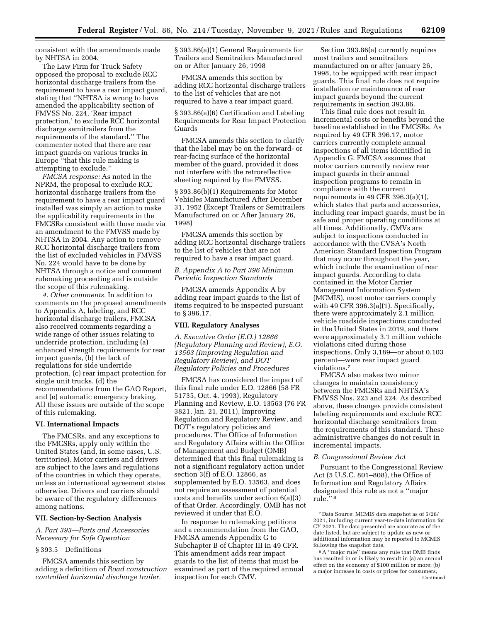consistent with the amendments made by NHTSA in 2004.

The Law Firm for Truck Safety opposed the proposal to exclude RCC horizontal discharge trailers from the requirement to have a rear impact guard, stating that ''NHTSA is wrong to have amended the applicability section of FMVSS No. 224, 'Rear impact protection,' to exclude RCC horizontal discharge semitrailers from the requirements of the standard.'' The commenter noted that there are rear impact guards on various trucks in Europe ''that this rule making is attempting to exclude.''

*FMCSA response:* As noted in the NPRM, the proposal to exclude RCC horizontal discharge trailers from the requirement to have a rear impact guard installed was simply an action to make the applicability requirements in the FMCSRs consistent with those made via an amendment to the FMVSS made by NHTSA in 2004. Any action to remove RCC horizontal discharge trailers from the list of excluded vehicles in FMVSS No. 224 would have to be done by NHTSA through a notice and comment rulemaking proceeding and is outside the scope of this rulemaking.

*4. Other comments.* In addition to comments on the proposed amendments to Appendix A, labeling, and RCC horizontal discharge trailers, FMCSA also received comments regarding a wide range of other issues relating to underride protection, including (a) enhanced strength requirements for rear impact guards, (b) the lack of regulations for side underride protection, (c) rear impact protection for single unit trucks, (d) the recommendations from the GAO Report, and (e) automatic emergency braking. All these issues are outside of the scope of this rulemaking.

#### **VI. International Impacts**

The FMCSRs, and any exceptions to the FMCSRs, apply only within the United States (and, in some cases, U.S. territories). Motor carriers and drivers are subject to the laws and regulations of the countries in which they operate, unless an international agreement states otherwise. Drivers and carriers should be aware of the regulatory differences among nations.

#### **VII. Section-by-Section Analysis**

*A. Part 393—Parts and Accessories Necessary for Safe Operation* 

# § 393.5 Definitions

FMCSA amends this section by adding a definition of *Road construction controlled horizontal discharge trailer.* 

§ 393.86(a)(1) General Requirements for Trailers and Semitrailers Manufactured on or After January 26, 1998

FMCSA amends this section by adding RCC horizontal discharge trailers to the list of vehicles that are not required to have a rear impact guard.

§ 393.86(a)(6) Certification and Labeling Requirements for Rear Impact Protection Guards

FMCSA amends this section to clarify that the label may be on the forward- or rear-facing surface of the horizontal member of the guard, provided it does not interfere with the retroreflective sheeting required by the FMVSS.

§ 393.86(b)(1) Requirements for Motor Vehicles Manufactured After December 31, 1952 (Except Trailers or Semitrailers Manufactured on or After January 26, 1998)

FMCSA amends this section by adding RCC horizontal discharge trailers to the list of vehicles that are not required to have a rear impact guard.

# *B. Appendix A to Part 396 Minimum Periodic Inspection Standards*

FMCSA amends Appendix A by adding rear impact guards to the list of items required to be inspected pursuant to § 396.17.

### **VIII. Regulatory Analyses**

*A. Executive Order (E.O.) 12866 (Regulatory Planning and Review), E.O. 13563 (Improving Regulation and Regulatory Review), and DOT Regulatory Policies and Procedures* 

FMCSA has considered the impact of this final rule under E.O. 12866 (58 FR 51735, Oct. 4, 1993), Regulatory Planning and Review, E.O. 13563 (76 FR 3821, Jan. 21, 2011), Improving Regulation and Regulatory Review, and DOT's regulatory policies and procedures. The Office of Information and Regulatory Affairs within the Office of Management and Budget (OMB) determined that this final rulemaking is not a significant regulatory action under section 3(f) of E.O. 12866, as supplemented by E.O. 13563, and does not require an assessment of potential costs and benefits under section 6(a)(3) of that Order. Accordingly, OMB has not reviewed it under that E.O.

In response to rulemaking petitions and a recommendation from the GAO, FMCSA amends Appendix G to Subchapter B of Chapter III in 49 CFR. This amendment adds rear impact guards to the list of items that must be examined as part of the required annual inspection for each CMV.

Section 393.86(a) currently requires most trailers and semitrailers manufactured on or after January 26, 1998, to be equipped with rear impact guards. This final rule does not require installation or maintenance of rear impact guards beyond the current requirements in section 393.86.

This final rule does not result in incremental costs or benefits beyond the baseline established in the FMCSRs. As required by 49 CFR 396.17, motor carriers currently complete annual inspections of all items identified in Appendix G. FMCSA assumes that motor carriers currently review rear impact guards in their annual inspection programs to remain in compliance with the current requirements in 49 CFR 396.3(a)(1), which states that parts and accessories, including rear impact guards, must be in safe and proper operating conditions at all times. Additionally, CMVs are subject to inspections conducted in accordance with the CVSA's North American Standard Inspection Program that may occur throughout the year, which include the examination of rear impact guards. According to data contained in the Motor Carrier Management Information System (MCMIS), most motor carriers comply with 49 CFR 396.3(a)(1). Specifically, there were approximately 2.1 million vehicle roadside inspections conducted in the United States in 2019, and there were approximately 3.1 million vehicle violations cited during those inspections. Only 3,189—or about 0.103 percent—were rear impact guard violations.7

FMCSA also makes two minor changes to maintain consistency between the FMCSRs and NHTSA's FMVSS Nos. 223 and 224. As described above, these changes provide consistent labeling requirements and exclude RCC horizontal discharge semitrailers from the requirements of this standard. These administrative changes do not result in incremental impacts.

### *B. Congressional Review Act*

Pursuant to the Congressional Review Act (5 U.S.C. 801–808), the Office of Information and Regulatory Affairs designated this rule as not a ''major rule.'' 8

<sup>7</sup> Data Source: MCMIS data snapshot as of 5/28/ 2021, including current year-to-date information for CY 2021. The data presented are accurate as of the date listed, but are subject to update as new or additional information may be reported to MCMIS following the snapshot date.

<sup>8</sup>A ''major rule'' means any rule that OMB finds has resulted in or is likely to result in (a) an annual effect on the economy of \$100 million or more; (b) a major increase in costs or prices for consumers, Continued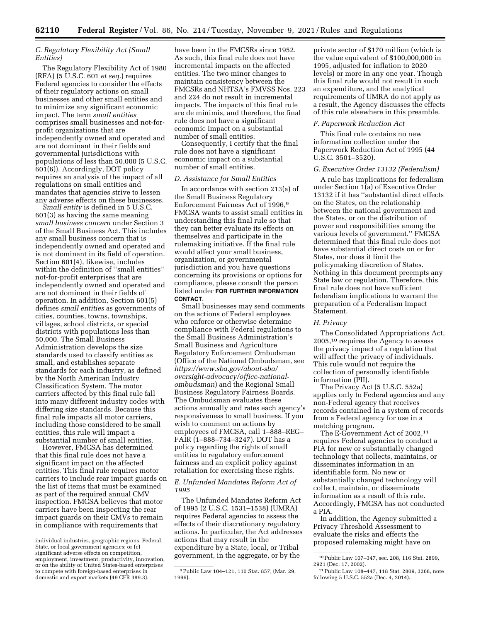# *C. Regulatory Flexibility Act (Small Entities)*

The Regulatory Flexibility Act of 1980 (RFA) (5 U.S.C. 601 *et seq.*) requires Federal agencies to consider the effects of their regulatory actions on small businesses and other small entities and to minimize any significant economic impact. The term *small entities*  comprises small businesses and not-forprofit organizations that are independently owned and operated and are not dominant in their fields and governmental jurisdictions with populations of less than 50,000 (5 U.S.C. 601(6)). Accordingly, DOT policy requires an analysis of the impact of all regulations on small entities and mandates that agencies strive to lessen any adverse effects on these businesses.

*Small entity* is defined in 5 U.S.C. 601(3) as having the same meaning *small business concern* under Section 3 of the Small Business Act. This includes any small business concern that is independently owned and operated and is not dominant in its field of operation. Section 601(4), likewise, includes within the definition of ''small entities'' not-for-profit enterprises that are independently owned and operated and are not dominant in their fields of operation. In addition, Section 601(5) defines *small entities* as governments of cities, counties, towns, townships, villages, school districts, or special districts with populations less than 50,000. The Small Business Administration develops the size standards used to classify entities as small, and establishes separate standards for each industry, as defined by the North American Industry Classification System. The motor carriers affected by this final rule fall into many different industry codes with differing size standards. Because this final rule impacts all motor carriers, including those considered to be small entities, this rule will impact a substantial number of small entities.

However, FMCSA has determined that this final rule does not have a significant impact on the affected entities. This final rule requires motor carriers to include rear impact guards on the list of items that must be examined as part of the required annual CMV inspection. FMCSA believes that motor carriers have been inspecting the rear impact guards on their CMVs to remain in compliance with requirements that

have been in the FMCSRs since 1952. As such, this final rule does not have incremental impacts on the affected entities. The two minor changes to maintain consistency between the FMCSRs and NHTSA's FMVSS Nos. 223 and 224 do not result in incremental impacts. The impacts of this final rule are de minimis, and therefore, the final rule does not have a significant economic impact on a substantial number of small entities.

Consequently, I certify that the final rule does not have a significant economic impact on a substantial number of small entities.

#### *D. Assistance for Small Entities*

In accordance with section 213(a) of the Small Business Regulatory Enforcement Fairness Act of 1996,9 FMCSA wants to assist small entities in understanding this final rule so that they can better evaluate its effects on themselves and participate in the rulemaking initiative. If the final rule would affect your small business, organization, or governmental jurisdiction and you have questions concerning its provisions or options for compliance, please consult the person listed under **FOR FURTHER INFORMATION CONTACT**.

Small businesses may send comments on the actions of Federal employees who enforce or otherwise determine compliance with Federal regulations to the Small Business Administration's Small Business and Agriculture Regulatory Enforcement Ombudsman (Office of the National Ombudsman, see *[https://www.sba.gov/about-sba/](https://www.sba.gov/about-sba/oversight-advocacy/office-national-ombudsman)  [oversight-advocacy/office-national](https://www.sba.gov/about-sba/oversight-advocacy/office-national-ombudsman)[ombudsman](https://www.sba.gov/about-sba/oversight-advocacy/office-national-ombudsman)*) and the Regional Small Business Regulatory Fairness Boards. The Ombudsman evaluates these actions annually and rates each agency's responsiveness to small business. If you wish to comment on actions by employees of FMCSA, call 1–888–REG– FAIR (1–888–734–3247). DOT has a policy regarding the rights of small entities to regulatory enforcement fairness and an explicit policy against retaliation for exercising these rights.

# *E. Unfunded Mandates Reform Act of 1995*

The Unfunded Mandates Reform Act of 1995 (2 U.S.C. 1531–1538) (UMRA) requires Federal agencies to assess the effects of their discretionary regulatory actions. In particular, the Act addresses actions that may result in the expenditure by a State, local, or Tribal government, in the aggregate, or by the

private sector of \$170 million (which is the value equivalent of \$100,000,000 in 1995, adjusted for inflation to 2020 levels) or more in any one year. Though this final rule would not result in such an expenditure, and the analytical requirements of UMRA do not apply as a result, the Agency discusses the effects of this rule elsewhere in this preamble.

## *F. Paperwork Reduction Act*

This final rule contains no new information collection under the Paperwork Reduction Act of 1995 (44 U.S.C. 3501–3520).

#### *G. Executive Order 13132 (Federalism)*

A rule has implications for federalism under Section 1(a) of Executive Order 13132 if it has ''substantial direct effects on the States, on the relationship between the national government and the States, or on the distribution of power and responsibilities among the various levels of government.'' FMCSA determined that this final rule does not have substantial direct costs on or for States, nor does it limit the policymaking discretion of States. Nothing in this document preempts any State law or regulation. Therefore, this final rule does not have sufficient federalism implications to warrant the preparation of a Federalism Impact Statement.

## *H. Privacy*

The Consolidated Appropriations Act, 2005,10 requires the Agency to assess the privacy impact of a regulation that will affect the privacy of individuals. This rule would not require the collection of personally identifiable information (PII).

The Privacy Act (5 U.S.C. 552a) applies only to Federal agencies and any non-Federal agency that receives records contained in a system of records from a Federal agency for use in a matching program.

The E-Government Act of 2002,11 requires Federal agencies to conduct a PIA for new or substantially changed technology that collects, maintains, or disseminates information in an identifiable form. No new or substantially changed technology will collect, maintain, or disseminate information as a result of this rule. Accordingly, FMCSA has not conducted a PIA.

In addition, the Agency submitted a Privacy Threshold Assessment to evaluate the risks and effects the proposed rulemaking might have on

individual industries, geographic regions, Federal, State, or local government agencies; or (c) significant adverse effects on competition, employment, investment, productivity, innovation, or on the ability of United States-based enterprises to compete with foreign-based enterprises in domestic and export markets (49 CFR 389.3).

<sup>9</sup>Public Law 104–121, 110 Stat. 857, (Mar. 29, 1996).

<sup>10</sup>Public Law 107–347, sec. 208, 116 Stat. 2899, 2921 (Dec. 17, 2002).

<sup>11</sup>Public Law 108–447, 118 Stat. 2809, 3268, note following 5 U.S.C. 552a (Dec. 4, 2014).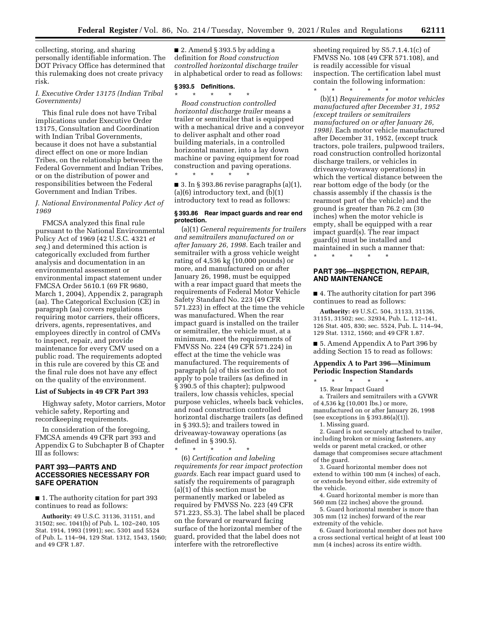collecting, storing, and sharing personally identifiable information. The DOT Privacy Office has determined that this rulemaking does not create privacy risk.

### *I. Executive Order 13175 (Indian Tribal Governments)*

This final rule does not have Tribal implications under Executive Order 13175, Consultation and Coordination with Indian Tribal Governments, because it does not have a substantial direct effect on one or more Indian Tribes, on the relationship between the Federal Government and Indian Tribes, or on the distribution of power and responsibilities between the Federal Government and Indian Tribes.

*J. National Environmental Policy Act of 1969* 

FMCSA analyzed this final rule pursuant to the National Environmental Policy Act of 1969 (42 U.S.C. 4321 *et seq.*) and determined this action is categorically excluded from further analysis and documentation in an environmental assessment or environmental impact statement under FMCSA Order 5610.1 (69 FR 9680, March 1, 2004), Appendix 2, paragraph (aa). The Categorical Exclusion (CE) in paragraph (aa) covers regulations requiring motor carriers, their officers, drivers, agents, representatives, and employees directly in control of CMVs to inspect, repair, and provide maintenance for every CMV used on a public road. The requirements adopted in this rule are covered by this CE and the final rule does not have any effect on the quality of the environment.

# **List of Subjects in 49 CFR Part 393**

Highway safety, Motor carriers, Motor vehicle safety, Reporting and recordkeeping requirements.

In consideration of the foregoing, FMCSA amends 49 CFR part 393 and Appendix G to Subchapter B of Chapter III as follows:

## **PART 393—PARTS AND ACCESSORIES NECESSARY FOR SAFE OPERATION**

■ 1. The authority citation for part 393 continues to read as follows:

**Authority:** 49 U.S.C. 31136, 31151, and 31502; sec. 1041(b) of Pub. L. 102–240, 105 Stat. 1914, 1993 (1991); sec. 5301 and 5524 of Pub. L. 114–94, 129 Stat. 1312, 1543, 1560; and 49 CFR 1.87.

 $\blacksquare$  2. Amend § 393.5 by adding a definition for *Road construction controlled horizontal discharge trailer*  in alphabetical order to read as follows:

### **§ 393.5 Definitions.**

\* \* \* \* \*

\* \* \* \* \* *Road construction controlled horizontal discharge trailer* means a trailer or semitrailer that is equipped with a mechanical drive and a conveyor to deliver asphalt and other road building materials, in a controlled horizontal manner, into a lay down machine or paving equipment for road construction and paving operations.

 $\blacksquare$  3. In § 393.86 revise paragraphs (a)(1),  $(a)(6)$  introductory text, and  $(b)(1)$ introductory text to read as follows:

# **§ 393.86 Rear impact guards and rear end protection.**

(a)(1) *General requirements for trailers and semitrailers manufactured on or after January 26, 1998.* Each trailer and semitrailer with a gross vehicle weight rating of 4,536 kg (10,000 pounds) or more, and manufactured on or after January 26, 1998, must be equipped with a rear impact guard that meets the requirements of Federal Motor Vehicle Safety Standard No. 223 (49 CFR 571.223) in effect at the time the vehicle was manufactured. When the rear impact guard is installed on the trailer or semitrailer, the vehicle must, at a minimum, meet the requirements of FMVSS No. 224 (49 CFR 571.224) in effect at the time the vehicle was manufactured. The requirements of paragraph (a) of this section do not apply to pole trailers (as defined in § 390.5 of this chapter); pulpwood trailers, low chassis vehicles, special purpose vehicles, wheels back vehicles, and road construction controlled horizontal discharge trailers (as defined in § 393.5); and trailers towed in driveaway-towaway operations (as defined in § 390.5).

\* \* \* \* \* (6) *Certification and labeling requirements for rear impact protection guards.* Each rear impact guard used to satisfy the requirements of paragraph (a)(1) of this section must be permanently marked or labeled as required by FMVSS No. 223 (49 CFR 571.223, S5.3). The label shall be placed on the forward or rearward facing surface of the horizontal member of the guard, provided that the label does not interfere with the retroreflective

sheeting required by S5.7.1.4.1(c) of FMVSS No. 108 (49 CFR 571.108), and is readily accessible for visual inspection. The certification label must contain the following information: \* \* \* \* \*

(b)(1) *Requirements for motor vehicles manufactured after December 31, 1952 (except trailers or semitrailers manufactured on or after January 26, 1998).* Each motor vehicle manufactured after December 31, 1952, (except truck tractors, pole trailers, pulpwood trailers, road construction controlled horizontal discharge trailers, or vehicles in driveaway-towaway operations) in which the vertical distance between the rear bottom edge of the body (or the chassis assembly if the chassis is the rearmost part of the vehicle) and the ground is greater than 76.2 cm (30 inches) when the motor vehicle is empty, shall be equipped with a rear impact guard(s). The rear impact guard(s) must be installed and maintained in such a manner that:

\* \* \* \* \*

# **PART 396—INSPECTION, REPAIR, AND MAINTENANCE**

■ 4. The authority citation for part 396 continues to read as follows:

**Authority:** 49 U.S.C. 504, 31133, 31136, 31151, 31502; sec. 32934, Pub. L. 112–141, 126 Stat. 405, 830; sec. 5524, Pub. L. 114–94, 129 Stat. 1312, 1560; and 49 CFR 1.87.

■ 5. Amend Appendix A to Part 396 by adding Section 15 to read as follows:

### **Appendix A to Part 396—Minimum Periodic Inspection Standards**

\* \* \* \* \*

15. Rear Impact Guard

a. Trailers and semitrailers with a GVWR of 4,536 kg (10,001 lbs.) or more, manufactured on or after January 26, 1998

(see exceptions in  $\S 393.86(a)(1)$ ). 1. Missing guard.

2. Guard is not securely attached to trailer, including broken or missing fasteners, any welds or parent metal cracked, or other damage that compromises secure attachment of the guard.

3. Guard horizontal member does not extend to within 100 mm (4 inches) of each, or extends beyond either, side extremity of the vehicle.

4. Guard horizontal member is more than 560 mm (22 inches) above the ground.

5. Guard horizontal member is more than 305 mm (12 inches) forward of the rear extremity of the vehicle.

6. Guard horizontal member does not have a cross sectional vertical height of at least 100 mm (4 inches) across its entire width.